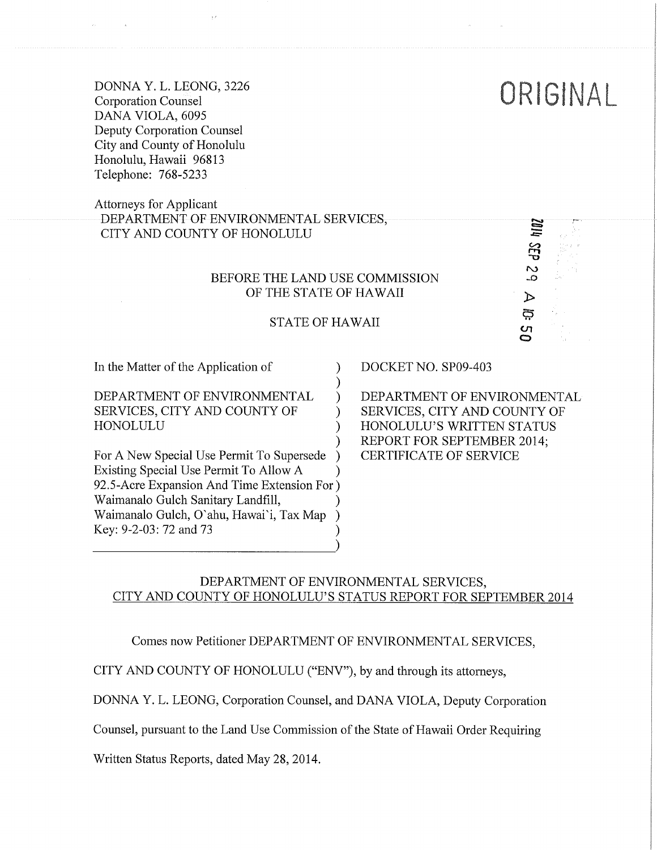DONNA Y. L. LEONG, 3226 Corporation Counsel DANA VIOLA, 6095 Deputy Corporation Counsel City and County of Honolulu Honolulu, Hawaii 96813 Telephone: 768-5233

# Attorneys for Applicant DEPARTMENT OF ENVIRONMENTAL SERVICES, CITY AND COUNTY OF HONOLULU

#### BEFORE THE LAND USE COMMISSION OF THE STATE OF HAWAII

#### STATE OF HAWAII

)

) ) ) )

In the Matter of the Application of

DEPARTMENT OF ENVIRONMENTAL SERVICES, CITY AND COUNTY OF HONOLULU

) ) ) 92.5-Acre Expansion And Time Extension For ) Waimanalo Gulch Sanitary Landfill, ) Waimanalo Gulch, O'ahu, Hawai'i, Tax Map ) Key: 9-2-03: 72 and 73 ) For A New Special Use Permit To Supersede Existing Special Use Permit To Allow A

DOCKET NO. SP09-403

DEPARTMENT OF ENVIRONMENTAL SERVICES, CITY AND COUNTY OF HONOLULU'S WRITTEN STATUS REPORT FOR SEPTEMBER 2014; CERTIFICATE OF SERVICE

ORISINAL

 $\overline{\mathcal{C}}$ 

 $\triangleright$ දු S<br>O

### DEPARTMENT OF ENVIRONMENTAL SERVICES, CITY AND COUNTY OF HONOLULU'S STATUS REPORT FOR SEPTEMBER 2014

Comes now Petitioner DEPARTMENT OF ENVIRONMENTAL SERVICES,

CITY AND COUNTY OF HONOLULU ("ENV"), by and through its attorneys,

DONNA Y. L. LEONG, Corporation Counsel, and DANA VIOLA, Deputy Corporation

Counsel, pursuant to the Land Use Commission of the State of Hawaii Order Requiring

Written Status Reports, dated May 28, 2014.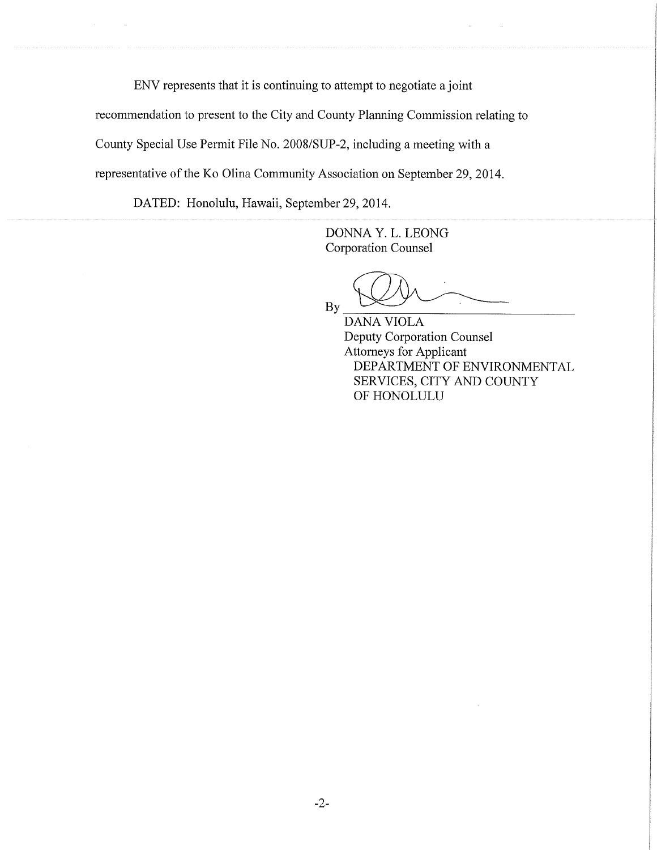ENV represents that it is continuing to attempt to negotiate a joint

recommendation to present to the City and County Planning Commission relating to

County Special Use Permit File No. 2008/SUP-2, including a meeting with a

representative of the Ko Olina Community Association on September 29, 2014.

DATED: Honolulu, Hawaii, September 29, 2014.

DONNA Y. L. LEONG Corporation Counsel

By

DANA VIOLA Deputy Corporation Counsel Attorneys for Applicant DEPARTMENT OF ENVIRONMENTAL SERVICES, CITY AND COUNTY OF HONOLULU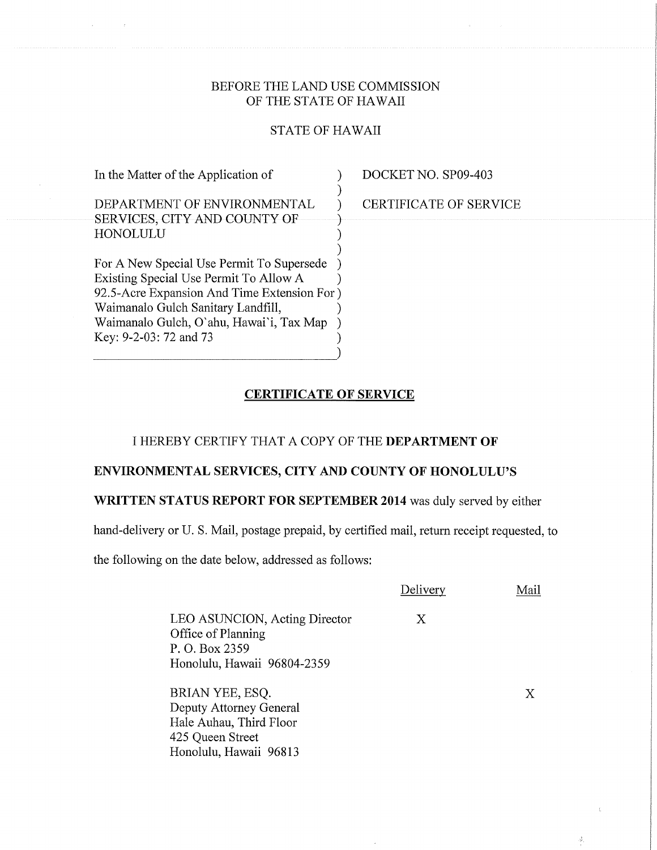## BEFORE THE LAND USE COMMISSION OF THE STATE OF HAWAII

## STATE OF HAWAII

| In the Matter of the Application of                                                                                                                                                                                                            | DOCKET NO. SP09-403    |
|------------------------------------------------------------------------------------------------------------------------------------------------------------------------------------------------------------------------------------------------|------------------------|
| DEPARTMENT OF ENVIRONMENTAL<br>SERVICES, CITY AND COUNTY OF<br>HONOLULU                                                                                                                                                                        | CERTIFICATE OF SERVICE |
| For A New Special Use Permit To Supersede<br>Existing Special Use Permit To Allow A<br>92.5-Acre Expansion And Time Extension For)<br>Waimanalo Gulch Sanitary Landfill,<br>Waimanalo Gulch, O'ahu, Hawai'i, Tax Map<br>Key: 9-2-03: 72 and 73 |                        |

#### CERTIFICATE OF SERVICE

#### I HEREBY CERTIFY THAT A COPY OF THE DEPARTMENT OF

## ENVIRONMENTAL SERVICES, CITY AND COUNTY OF HONOLULU'S

## WRITTEN STATUS REPORT FOR SEPTEMBER 2014 was duly served by either

hand-delivery or U. S. Mail, postage prepaid, by certified mail, return receipt requested, to

the following on the date below, addressed as follows:

Honolulu, Hawaii 96813

|                                                                                                      | Delivery | Mail |
|------------------------------------------------------------------------------------------------------|----------|------|
| LEO ASUNCION, Acting Director<br>Office of Planning<br>P. O. Box 2359<br>Honolulu, Hawaii 96804-2359 | X        |      |
| BRIAN YEE, ESQ.<br>Deputy Attorney General<br>Hale Auhau, Third Floor<br>425 Queen Street            |          | X    |